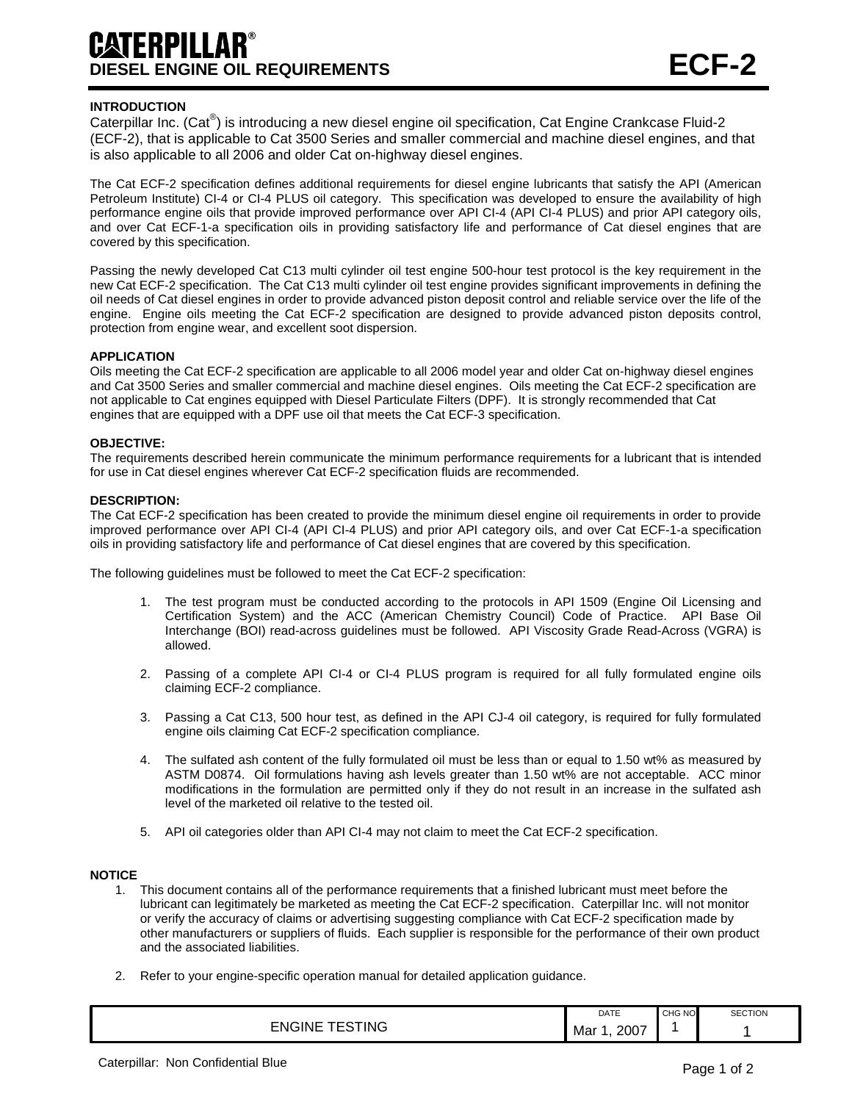# **DIESEL ENGINE OIL REQUIREMENTS ECF-2**

## **INTRODUCTION**

Caterpillar Inc. (Cat<sup>®</sup>) is introducing a new diesel engine oil specification, Cat Engine Crankcase Fluid-2 (ECF-2), that is applicable to Cat 3500 Series and smaller commercial and machine diesel engines, and that is also applicable to all 2006 and older Cat on-highway diesel engines.

The Cat ECF-2 specification defines additional requirements for diesel engine lubricants that satisfy the API (American Petroleum Institute) CI-4 or CI-4 PLUS oil category. This specification was developed to ensure the availability of high performance engine oils that provide improved performance over API CI-4 (API CI-4 PLUS) and prior API category oils, and over Cat ECF-1-a specification oils in providing satisfactory life and performance of Cat diesel engines that are covered by this specification.

Passing the newly developed Cat C13 multi cylinder oil test engine 500-hour test protocol is the key requirement in the new Cat ECF-2 specification. The Cat C13 multi cylinder oil test engine provides significant improvements in defining the oil needs of Cat diesel engines in order to provide advanced piston deposit control and reliable service over the life of the engine. Engine oils meeting the Cat ECF-2 specification are designed to provide advanced piston deposits control, protection from engine wear, and excellent soot dispersion.

### **APPLICATION**

Oils meeting the Cat ECF-2 specification are applicable to all 2006 model year and older Cat on-highway diesel engines and Cat 3500 Series and smaller commercial and machine diesel engines. Oils meeting the Cat ECF-2 specification are not applicable to Cat engines equipped with Diesel Particulate Filters (DPF). It is strongly recommended that Cat engines that are equipped with a DPF use oil that meets the Cat ECF-3 specification.

#### **OBJECTIVE:**

The requirements described herein communicate the minimum performance requirements for a lubricant that is intended for use in Cat diesel engines wherever Cat ECF-2 specification fluids are recommended.

#### **DESCRIPTION:**

The Cat ECF-2 specification has been created to provide the minimum diesel engine oil requirements in order to provide improved performance over API CI-4 (API CI-4 PLUS) and prior API category oils, and over Cat ECF-1-a specification oils in providing satisfactory life and performance of Cat diesel engines that are covered by this specification.

The following guidelines must be followed to meet the Cat ECF-2 specification:

- 1. The test program must be conducted according to the protocols in API 1509 (Engine Oil Licensing and Certification System) and the ACC (American Chemistry Council) Code of Practice. API Base Oil Interchange (BOI) read-across guidelines must be followed. API Viscosity Grade Read-Across (VGRA) is allowed.
- 2. Passing of a complete API CI-4 or CI-4 PLUS program is required for all fully formulated engine oils claiming ECF-2 compliance.
- 3. Passing a Cat C13, 500 hour test, as defined in the API CJ-4 oil category, is required for fully formulated engine oils claiming Cat ECF-2 specification compliance.
- 4. The sulfated ash content of the fully formulated oil must be less than or equal to 1.50 wt% as measured by ASTM D0874. Oil formulations having ash levels greater than 1.50 wt% are not acceptable. ACC minor modifications in the formulation are permitted only if they do not result in an increase in the sulfated ash level of the marketed oil relative to the tested oil.
- 5. API oil categories older than API CI-4 may not claim to meet the Cat ECF-2 specification.

#### **NOTICE**

- 1. This document contains all of the performance requirements that a finished lubricant must meet before the lubricant can legitimately be marketed as meeting the Cat ECF-2 specification. Caterpillar Inc. will not monitor or verify the accuracy of claims or advertising suggesting compliance with Cat ECF-2 specification made by other manufacturers or suppliers of fluids. Each supplier is responsible for the performance of their own product and the associated liabilities.
- 2. Refer to your engine-specific operation manual for detailed application guidance.

|                                        | DATE                    | CHG NO | <b>SECTION</b> |
|----------------------------------------|-------------------------|--------|----------------|
| ING<br>-NGINE<br>-<br>$\sim$<br>$\sim$ | 2007<br>Mar<br>-<br>___ |        |                |